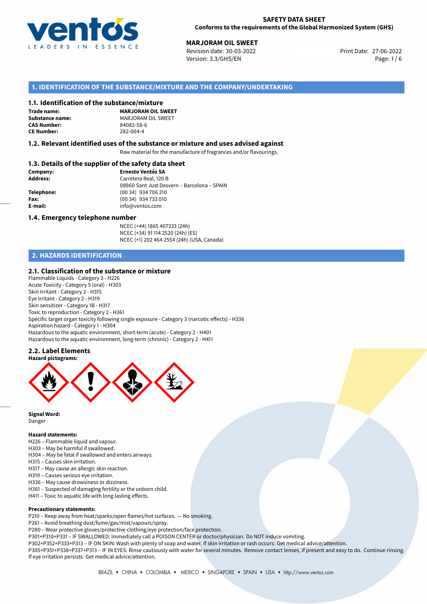

27-06-2022 **MARJORAM OIL SWEET** Revision date: 30-03-2022 Print Date: Version: 3.3/GHS/EN Page: 1 / 6

### **1. IDENTIFICATION OF THE SUBSTANCE/MIXTURE AND THE COMPANY/UNDERTAKING**

#### **1.1. Identification of the substance/mixture**

**Trade name: CAS Number: CE Number:** 282-004-4

**MARJORAM OIL SWEET Substance name:** MARJORAM OIL SWEET<br> **CAS Number:** 84082-58-6

#### **1.2. Relevant identified uses of the substance or mixture and uses advised against**

Raw material for the manufacture of fragrances and/or flavourings.

### **1.3. Details of the supplier of the safety data sheet**

| Company:        | <b>Ernesto Ventós SA</b>                    |  |  |  |  |
|-----------------|---------------------------------------------|--|--|--|--|
| <b>Address:</b> | Carretera Real, 120 B                       |  |  |  |  |
|                 | 08960 Sant Just Desvern - Barcelona - SPAIN |  |  |  |  |
| Telephone:      | (00 34) 934 706 210                         |  |  |  |  |
| Fax:            | (00 34) 934 733 010                         |  |  |  |  |
| E-mail:         | info@ventos.com                             |  |  |  |  |
|                 |                                             |  |  |  |  |

#### **1.4. Emergency telephone number**

NCEC (+44) 1865 407333 (24h) NCEC (+34) 91 114 2520 (24h) (ES) NCEC (+1) 202 464 2554 (24h) (USA, Canada)

# **2. HAZARDS IDENTIFICATION**

#### **2.1. Classification of the substance or mixture**

Flammable Liquids - Category 3 - H226 Acute Toxicity - Category 5 (oral) - H303 Skin Irritant - Category 2 - H315 Eye Irritant - Category 2 - H319 Skin sensitizer - Category 1B - H317 Toxic to reproduction - Category 2 - H361 Specific target organ toxicity following single exposure - Category 3 (narcotic effects) - H336 Aspiration hazard - Category 1 - H304 Hazardous to the aquatic environment, short-term (acute) - Category 2 - H401 Hazardous to the aquatic environment, long-term (chronic) - Category 2 - H411

### **2.2. Label Elements**



**Signal Word:** Danger

#### **Hazard statements:**

- H226 Flammable liquid and vapour.
- H303 May be harmful if swallowed.
- H304 May be fatal if swallowed and enters airways.
- H315 Causes skin irritation.
- H317 May cause an allergic skin reaction.
- H319 Causes serious eye irritation.
- H336 May cause drowsiness or dizziness.
- H361 Suspected of damaging fertility or the unborn child.
- H411 Toxic to aquatic life with long lasting effects.

#### **Precautionary statements:**

P210 – Keep away from heat/sparks/open flames/hot surfaces. — No smoking.

- P261 Avoid breathing dust/fume/gas/mist/vapours/spray.
- P280 Wear protective gloves/protective clothing/eye protection/face protection.

P301+P310+P331 – IF SWALLOWED: Immediately call a POISON CENTER or doctor/physician. Do NOT induce vomiting.

P302+P352+P333+P313 – IF ON SKIN: Wash with plenty of soap and water. If skin irritation or rash occurs: Get medical advice/attention. P305+P351+P338+P337+P313 – IF IN EYES: Rinse cautiously with water for several minutes. Remove contact lenses, if present and easy to do. Continue rinsing. If eye irritation persists: Get medical advice/attention.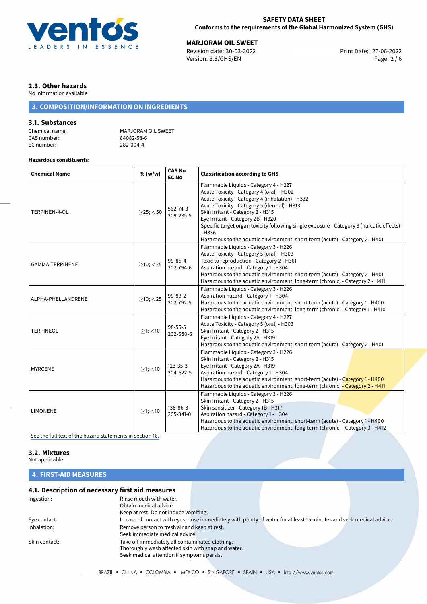

#### **SAFETY DATA SHEET Conforms to the requirements of the Global Harmonized System (GHS)**

27-06-2022 **MARJORAM OIL SWEET** Revision date: 30-03-2022 Version: 3.3/GHS/EN Page: 2 / 6

# **2.3. Other hazards**

No Information available

# **3. COMPOSITION/INFORMATION ON INGREDIENTS**

# **3.1. Substances**

CAS number: 84082-58-6<br>EC number: 282-004-4 EC number:

Chemical name: MARJORAM OIL SWEET<br>
CAS number: 84082-58-6

#### **Hazardous constituents:**

| <b>Chemical Name</b> | % (w/w)        | <b>CAS No</b><br><b>EC No</b> | <b>Classification according to GHS</b>                                                                                                                                                                                                                                                                                                                                                                                                                 |  |  |
|----------------------|----------------|-------------------------------|--------------------------------------------------------------------------------------------------------------------------------------------------------------------------------------------------------------------------------------------------------------------------------------------------------------------------------------------------------------------------------------------------------------------------------------------------------|--|--|
| TERPINEN-4-OL        | $>$ 25; $<$ 50 | 562-74-3<br>209-235-5         | Flammable Liquids - Category 4 - H227<br>Acute Toxicity - Category 4 (oral) - H302<br>Acute Toxicity - Category 4 (inhalation) - H332<br>Acute Toxicity - Category 5 (dermal) - H313<br>Skin Irritant - Category 2 - H315<br>Eye Irritant - Category 2B - H320<br>Specific target organ toxicity following single exposure - Category 3 (narcotic effects)<br>$- H336$<br>Hazardous to the aquatic environment, short-term (acute) - Category 2 - H401 |  |  |
| GAMMA-TERPINENE      | $>10$ ; $<$ 25 | 99-85-4<br>202-794-6          | Flammable Liquids - Category 3 - H226<br>Acute Toxicity - Category 5 (oral) - H303<br>Toxic to reproduction - Category 2 - H361<br>Aspiration hazard - Category 1 - H304<br>Hazardous to the aquatic environment, short-term (acute) - Category 2 - H401<br>Hazardous to the aquatic environment, long-term (chronic) - Category 2 - H411                                                                                                              |  |  |
| ALPHA-PHELLANDRENE   | $\geq$ 10; <25 | 99-83-2<br>202-792-5          | Flammable Liquids - Category 3 - H226<br>Aspiration hazard - Category 1 - H304<br>Hazardous to the aquatic environment, short-term (acute) - Category 1 - H400<br>Hazardous to the aquatic environment, long-term (chronic) - Category 1 - H410                                                                                                                                                                                                        |  |  |
| <b>TERPINEOL</b>     | $>1$ ; <10     | $98 - 55 - 5$<br>202-680-6    | Flammable Liquids - Category 4 - H227<br>Acute Toxicity - Category 5 (oral) - H303<br>Skin Irritant - Category 2 - H315<br>Eye Irritant - Category 2A - H319<br>Hazardous to the aquatic environment, short-term (acute) - Category 2 - H401                                                                                                                                                                                                           |  |  |
| <b>MYRCENE</b>       | $>1$ ; <10     | 123-35-3<br>204-622-5         | Flammable Liquids - Category 3 - H226<br>Skin Irritant - Category 2 - H315<br>Eye Irritant - Category 2A - H319<br>Aspiration hazard - Category 1 - H304<br>Hazardous to the aquatic environment, short-term (acute) - Category 1 - H400<br>Hazardous to the aquatic environment, long-term (chronic) - Category 2 - H411                                                                                                                              |  |  |
| <b>LIMONENE</b>      | $>1$ ; <10     | 138-86-3<br>205-341-0         | Flammable Liquids - Category 3 - H226<br>Skin Irritant - Category 2 - H315<br>Skin sensitizer - Category 1B - H317<br>Aspiration hazard - Category 1 - H304<br>Hazardous to the aquatic environment, short-term (acute) - Category 1 - H400<br>Hazardous to the aquatic environment, long-term (chronic) - Category 3 - H412                                                                                                                           |  |  |

[See the full text of the hazard statements in section 16.](#page-5-0)

#### **3.2. Mixtures**

Not applicable.

# **4. FIRST-AID MEASURES**

### **4.1. Description of necessary first aid measures**

| Ingestion:    | Rinse mouth with water.                            |                                                                                                                       |  |
|---------------|----------------------------------------------------|-----------------------------------------------------------------------------------------------------------------------|--|
|               | Obtain medical advice.                             |                                                                                                                       |  |
|               | Keep at rest. Do not induce vomiting.              |                                                                                                                       |  |
| Eye contact:  |                                                    | In case of contact with eyes, rinse immediately with plenty of water for at least 15 minutes and seek medical advice. |  |
| Inhalation:   | Remove person to fresh air and keep at rest.       |                                                                                                                       |  |
|               | Seek immediate medical advice.                     |                                                                                                                       |  |
| Skin contact: | Take off immediately all contaminated clothing.    |                                                                                                                       |  |
|               | Thoroughly wash affected skin with soap and water. |                                                                                                                       |  |
|               | Seek medical attention if symptoms persist.        |                                                                                                                       |  |
|               |                                                    |                                                                                                                       |  |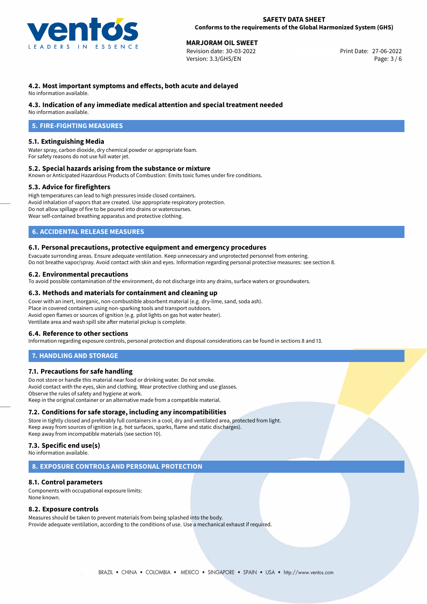

# 27-06-2022 **MARJORAM OIL SWEET**

Revision date: 30-03-2022 Version: 3.3/GHS/EN Page: 3 / 6

# **4.2. Most important symptoms and effects, both acute and delayed**

No information available.

#### **4.3. Indication of any immediate medical attention and special treatment needed**

No information available.

# **5. FIRE-FIGHTING MEASURES**

#### **5.1. Extinguishing Media**

Water spray, carbon dioxide, dry chemical powder or appropriate foam. For safety reasons do not use full water jet.

#### **5.2. Special hazards arising from the substance or mixture**

Known or Anticipated Hazardous Products of Combustion: Emits toxic fumes under fire conditions.

#### **5.3. Advice for firefighters**

High temperatures can lead to high pressures inside closed containers. Avoid inhalation of vapors that are created. Use appropriate respiratory protection. Do not allow spillage of fire to be poured into drains or watercourses. Wear self-contained breathing apparatus and protective clothing.

### **6. ACCIDENTAL RELEASE MEASURES**

#### **6.1. Personal precautions, protective equipment and emergency procedures**

Evacuate surronding areas. Ensure adequate ventilation. Keep unnecessary and unprotected personnel from entering. Do not breathe vapor/spray. Avoid contact with skin and eyes. Information regarding personal protective measures: see section 8.

#### **6.2. Environmental precautions**

To avoid possible contamination of the environment, do not discharge into any drains, surface waters or groundwaters.

#### **6.3. Methods and materials for containment and cleaning up**

Cover with an inert, inorganic, non-combustible absorbent material (e.g. dry-lime, sand, soda ash). Place in covered containers using non-sparking tools and transport outdoors. Avoid open flames or sources of ignition (e.g. pilot lights on gas hot water heater). Ventilate area and wash spill site after material pickup is complete.

#### **6.4. Reference to other sections**

Information regarding exposure controls, personal protection and disposal considerations can be found in sections 8 and 13.

#### **7. HANDLING AND STORAGE**

#### **7.1. Precautions for safe handling**

Do not store or handle this material near food or drinking water. Do not smoke. Avoid contact with the eyes, skin and clothing. Wear protective clothing and use glasses. Observe the rules of safety and hygiene at work. Keep in the original container or an alternative made from a compatible material.

#### **7.2. Conditions for safe storage, including any incompatibilities**

Store in tightly closed and preferably full containers in a cool, dry and ventilated area, protected from light. Keep away from sources of ignition (e.g. hot surfaces, sparks, flame and static discharges). Keep away from incompatible materials (see section 10).

# **7.3. Specific end use(s)**

No information available.

#### **8. EXPOSURE CONTROLS AND PERSONAL PROTECTION**

#### **8.1. Control parameters**

Components with occupational exposure limits: None known.

#### **8.2. Exposure controls**

Measures should be taken to prevent materials from being splashed into the body. Provide adequate ventilation, according to the conditions of use. Use a mechanical exhaust if required.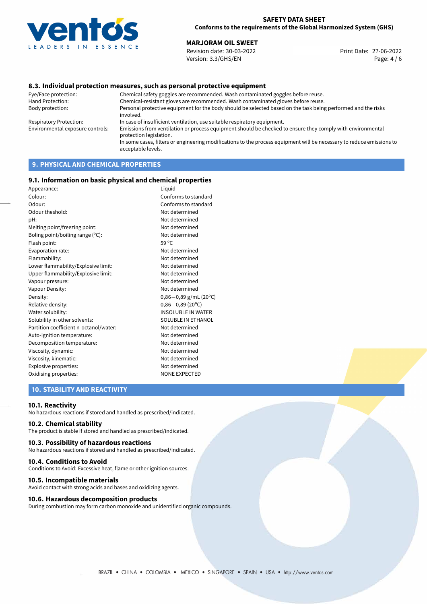

27-06-2022 **MARJORAM OIL SWEET** Revision date: 30-03-2022 Print Date: Version: 3.3/GHS/EN Page: 4 / 6

#### **8.3. Individual protection measures, such as personal protective equipment**

Eye/Face protection: Chemical safety goggles are recommended. Wash contaminated goggles before reuse. Chemical-resistant gloves are recommended. Wash contaminated gloves before reuse. Body protection: Personal protective equipment for the body should be selected based on the task being performed and the risks involved. Respiratory Protection: In case of insufficient ventilation, use suitable respiratory equipment. Environmental exposure controls: Emissions from ventilation or process equipment should be checked to ensure they comply with environmental protection legislation. In some cases, filters or engineering modifications to the process equipment will be necessary to reduce emissions to acceptable levels.

# **9. PHYSICAL AND CHEMICAL PROPERTIES**

#### **9.1. Information on basic physical and chemical properties**

| Appearance:                            | Liguid                    |
|----------------------------------------|---------------------------|
| Colour:                                | Conforms to standard      |
| Odour:                                 | Conforms to standard      |
| Odour theshold:                        | Not determined            |
| pH:                                    | Not determined            |
| Melting point/freezing point:          | Not determined            |
| Boling point/boiling range (°C):       | Not determined            |
| Flash point:                           | 59 °C                     |
| Evaporation rate:                      | Not determined            |
| Flammability:                          | Not determined            |
| Lower flammability/Explosive limit:    | Not determined            |
| Upper flammability/Explosive limit:    | Not determined            |
| Vapour pressure:                       | Not determined            |
| Vapour Density:                        | Not determined            |
| Density:                               | $0,86-0,89$ g/mL (20°C)   |
| Relative density:                      | $0,86 - 0,89$ (20°C)      |
| Water solubility:                      | <b>INSOLUBLE IN WATER</b> |
| Solubility in other solvents:          | SOLUBLE IN ETHANOL        |
| Partition coefficient n-octanol/water: | Not determined            |
| Auto-ignition temperature:             | Not determined            |
| Decomposition temperature:             | Not determined            |
| Viscosity, dynamic:                    | Not determined            |
| Viscosity, kinematic:                  | Not determined            |
| Explosive properties:                  | Not determined            |
| Oxidising properties:                  | <b>NONE EXPECTED</b>      |
|                                        |                           |

#### **10. STABILITY AND REACTIVITY**

#### **10.1. Reactivity**

No hazardous reactions if stored and handled as prescribed/indicated.

### **10.2. Chemical stability**

The product is stable if stored and handled as prescribed/indicated.

#### **10.3. Possibility of hazardous reactions**

No hazardous reactions if stored and handled as prescribed/indicated.

#### **10.4. Conditions to Avoid**

Conditions to Avoid: Excessive heat, flame or other ignition sources.

#### **10.5. Incompatible materials**

Avoid contact with strong acids and bases and oxidizing agents.

#### **10.6. Hazardous decomposition products**

During combustion may form carbon monoxide and unidentified organic compounds.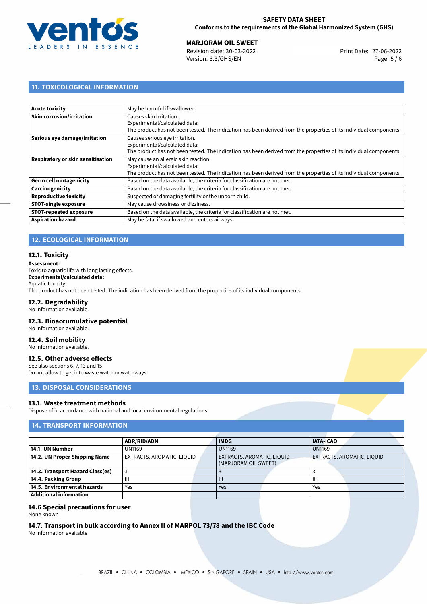

27-06-2022 **MARJORAM OIL SWEET** Revision date: 30-03-2022 Print Date: Version: 3.3/GHS/EN Page: 5 / 6

# **11. TOXICOLOGICAL INFORMATION**

| <b>Acute toxicity</b>             | May be harmful if swallowed.                                                                                       |
|-----------------------------------|--------------------------------------------------------------------------------------------------------------------|
| <b>Skin corrosion/irritation</b>  | Causes skin irritation.                                                                                            |
|                                   | Experimental/calculated data:                                                                                      |
|                                   | The product has not been tested. The indication has been derived from the properties of its individual components. |
| Serious eye damage/irritation     | Causes serious eye irritation.                                                                                     |
|                                   | Experimental/calculated data:                                                                                      |
|                                   | The product has not been tested. The indication has been derived from the properties of its individual components. |
| Respiratory or skin sensitisation | May cause an allergic skin reaction.                                                                               |
|                                   | Experimental/calculated data:                                                                                      |
|                                   | The product has not been tested. The indication has been derived from the properties of its individual components. |
| <b>Germ cell mutagenicity</b>     | Based on the data available, the criteria for classification are not met.                                          |
| Carcinogenicity                   | Based on the data available, the criteria for classification are not met.                                          |
| <b>Reproductive toxicity</b>      | Suspected of damaging fertility or the unborn child.                                                               |
| <b>STOT-single exposure</b>       | May cause drowsiness or dizziness.                                                                                 |
| <b>STOT-repeated exposure</b>     | Based on the data available, the criteria for classification are not met.                                          |
| <b>Aspiration hazard</b>          | May be fatal if swallowed and enters airways.                                                                      |
|                                   |                                                                                                                    |

# **12. ECOLOGICAL INFORMATION**

#### **12.1. Toxicity**

#### **Assessment:**

Toxic to aquatic life with long lasting effects. **Experimental/calculated data:** Aquatic toxicity. The product has not been tested. The indication has been derived from the properties of its individual components.

# **12.2. Degradability**

No information available.

#### **12.3. Bioaccumulative potential**

No information available.

# **12.4. Soil mobility**

No information available.

# **12.5. Other adverse effects**

See also sections 6, 7, 13 and 15 Do not allow to get into waste water or waterways.

# **13. DISPOSAL CONSIDERATIONS**

### **13.1. Waste treatment methods**

Dispose of in accordance with national and local environmental regulations.

# **14. TRANSPORT INFORMATION**

|                                  | <b>ADR/RID/ADN</b>         |  | <b>IMDG</b>                                        |  | <b>IATA-ICAO</b>           |  |
|----------------------------------|----------------------------|--|----------------------------------------------------|--|----------------------------|--|
| 14.1. UN Number                  | <b>UN1169</b>              |  | <b>UN1169</b>                                      |  | <b>UN1169</b>              |  |
| 14.2. UN Proper Shipping Name    | EXTRACTS, AROMATIC, LIQUID |  | EXTRACTS, AROMATIC, LIQUID<br>(MARJORAM OIL SWEET) |  | EXTRACTS, AROMATIC, LIQUID |  |
| 14.3. Transport Hazard Class(es) |                            |  |                                                    |  |                            |  |
| 14.4. Packing Group              | Ш                          |  | Ш                                                  |  | Ш                          |  |
| 14.5. Environmental hazards      | Yes                        |  | Yes                                                |  | Yes                        |  |
| Additional information           |                            |  |                                                    |  |                            |  |

# **14.6 Special precautions for user**

None known

# **14.7. Transport in bulk according to Annex II of MARPOL 73/78 and the IBC Code**

No information available